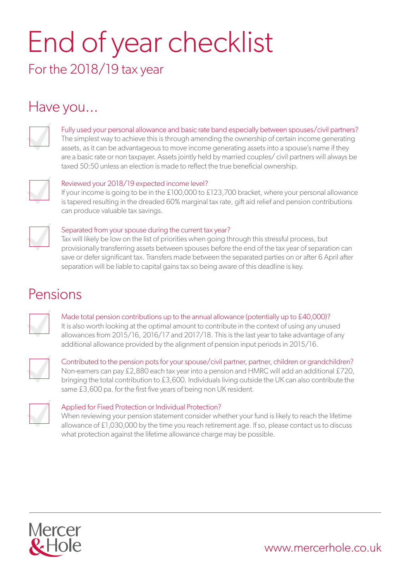# End of year checklist

For the 2018/19 tax year

# Have you...



#### Fully used your personal allowance and basic rate band especially between spouses/civil partners?

The simplest way to achieve this is through amending the ownership of certain income generating assets, as it can be advantageous to move income generating assets into a spouse's name if they are a basic rate or non taxpayer. Assets jointly held by married couples/ civil partners will always be taxed 50:50 unless an election is made to reflect the true beneficial ownership.



#### Reviewed your 2018/19 expected income level?

If your income is going to be in the £100,000 to £123,700 bracket, where your personal allowance is tapered resulting in the dreaded 60% marginal tax rate, gift aid relief and pension contributions can produce valuable tax savings.



#### Separated from your spouse during the current tax year?

Tax will likely be low on the list of priorities when going through this stressful process, but provisionally transferring assets between spouses before the end of the tax year of separation can save or defer significant tax. Transfers made between the separated parties on or after 6 April after separation will be liable to capital gains tax so being aware of this deadline is key.

### Pensions

Made total pension contributions up to the annual allowance (potentially up to £40,000)? It is also worth looking at the optimal amount to contribute in the context of using any unused allowances from 2015/16, 2016/17 and 2017/18. This is the last year to take advantage of any additional allowance provided by the alignment of pension input periods in 2015/16.



Contributed to the pension pots for your spouse/civil partner, partner, children or grandchildren? Non-earners can pay £2,880 each tax year into a pension and HMRC will add an additional £720, bringing the total contribution to £3,600. Individuals living outside the UK can also contribute the same £3,600 pa. for the first five years of being non UK resident.



#### Applied for Fixed Protection or Individual Protection?

When reviewing your pension statement consider whether your fund is likely to reach the lifetime allowance of £1,030,000 by the time you reach retirement age. If so, please contact us to discuss what protection against the lifetime allowance charge may be possible.



www.mercerhole.co.uk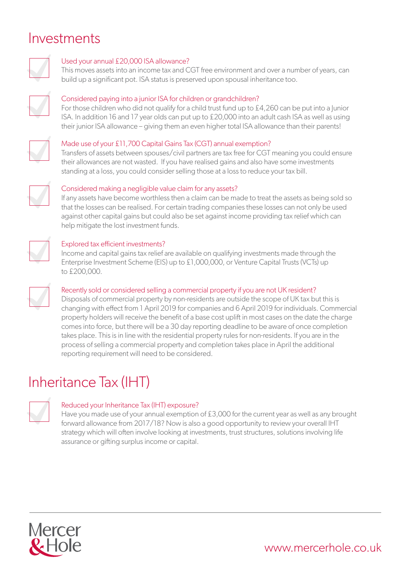## Investments



#### Used your annual £20,000 ISA allowance?

This moves assets into an income tax and CGT free environment and over a number of years, can build up a significant pot. ISA status is preserved upon spousal inheritance too.



#### Considered paying into a junior ISA for children or grandchildren?

For those children who did not qualify for a child trust fund up to £4,260 can be put into a Junior ISA. In addition 16 and 17 year olds can put up to £20,000 into an adult cash ISA as well as using their junior ISA allowance – giving them an even higher total ISA allowance than their parents!



#### Made use of your £11,700 Capital Gains Tax (CGT) annual exemption?

Transfers of assets between spouses/civil partners are tax free for CGT meaning you could ensure their allowances are not wasted. If you have realised gains and also have some investments standing at a loss, you could consider selling those at a loss to reduce your tax bill.



#### Considered making a negligible value claim for any assets?

If any assets have become worthless then a claim can be made to treat the assets as being sold so that the losses can be realised. For certain trading companies these losses can not only be used against other capital gains but could also be set against income providing tax relief which can help mitigate the lost investment funds.



#### Explored tax efficient investments?

Income and capital gains tax relief are available on qualifying investments made through the Enterprise Investment Scheme (EIS) up to £1,000,000, or Venture Capital Trusts (VCTs) up to £200,000.



#### Recently sold or considered selling a commercial property if you are not UK resident?

Disposals of commercial property by non-residents are outside the scope of UK tax but this is changing with effect from 1 April 2019 for companies and 6 April 2019 for individuals. Commercial property holders will receive the benefit of a base cost uplift in most cases on the date the charge comes into force, but there will be a 30 day reporting deadline to be aware of once completion takes place. This is in line with the residential property rules for non-residents. If you are in the process of selling a commercial property and completion takes place in April the additional reporting requirement will need to be considered.

# Inheritance Tax (IHT)



#### Reduced your Inheritance Tax (IHT) exposure?

Have you made use of your annual exemption of £3,000 for the current year as well as any brought forward allowance from 2017/18? Now is also a good opportunity to review your overall IHT strategy which will often involve looking at investments, trust structures, solutions involving life assurance or gifting surplus income or capital.